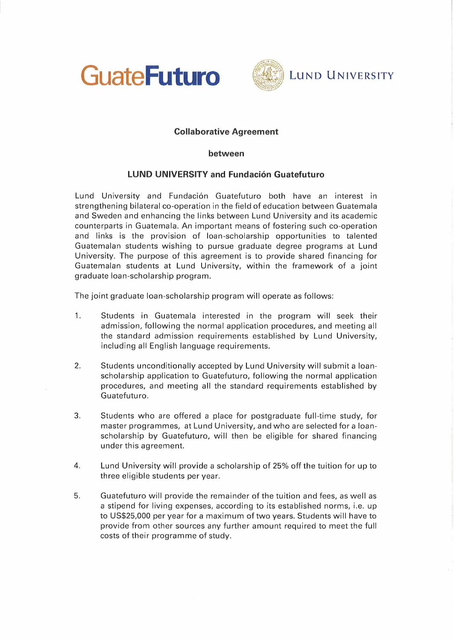



## **Collaborative Agreement**

## **between**

## **LUND UNIVERSITY and Fundación Guatefuturo**

Lund University and Fundaci6n Guatefuturo both have an interest in strengthening bilateral co-operation in the field of education between Guatemala and Sweden and enhancing the links between Lund University and its academic counterparts in Guatemala. An important means of fostering such ca-operation and links is the provision of loan-scholarship opportunities to talented Guatemalan students wishing to pursue graduate degree programs at Lund University. The purpose of this agreement is to provide shared financing for Guatemalan students at Lund University, within the framework of a joint graduate loan-scholarship program.

The joint graduate loan-scholarship program will operate as follows:

- 1. Students in Guatemala interested in the program will seek their admission, following the normal application procedures, and meeting all the standard admission requirements established by Lund University, including all English language requirements.
- 2. Students unconditionally accepted by Lund University will submit a loanscholarship application to Guatefuturo, following the normal application procedures, and meeting all the standard requirements established by Guatefuturo.
- 3. Students who are offered a place for postgraduate full-time study, for master programmes, at Lund University, and who are selected fora loanscholarship by Guatefuturo, will then be eligible for shared financing under this agreement.
- 4. Lund University will provide a scholarship of 25% off the tuition for up to three eligible students per year.
- 5. Guatefuturo will provide the remainder of the tuition and fees, as well as a stipend for living expenses, according to its established norms, i.e. up to US\$25,000 per year fora maximum of two years. Students will have to provide from other sources any further amount required to meet the full costs of their programme of study.